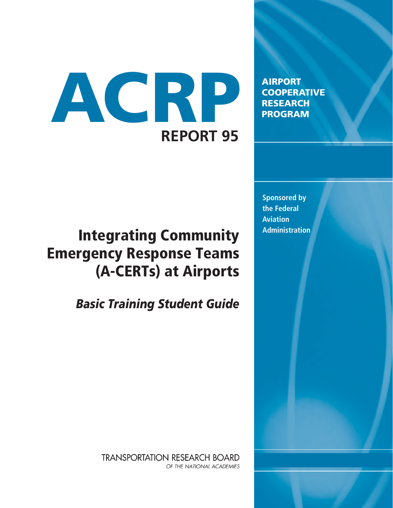# ACRP **REPORT 95**

AIRPORT **COOPERATIVE** RESEARCH PROGRAM

**Sponsored by the Federal Aviation** 

# **Integrating Community Administration** Emergency Response Teams (A-CERTs) at Airports

*Basic Training Student Guide*

**TRANSPORTATION RESEARCH BOARD** OF THE NATIONAL ACADEMIES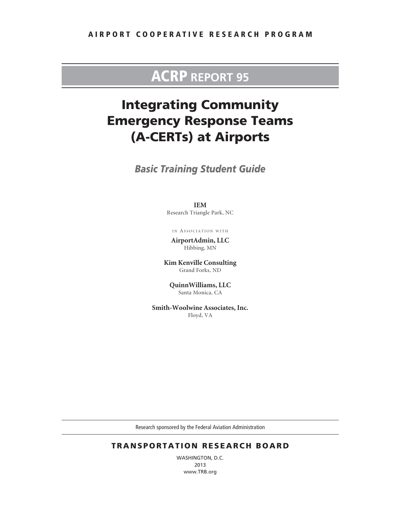### ACRP **REPORT 95**

### Integrating Community Emergency Response Teams (A-CERTs) at Airports

*Basic Training Student Guide*

**IEM** Research Triangle Park, NC

IN ASSOCIATION WITH

**AirportAdmin, LLC** Hibbing, MN

**Kim Kenville Consulting** Grand Forks, ND

**QuinnWilliams, LLC** Santa Monica, CA

**Smith-Woolwine Associates, Inc.** Floyd, VA

Research sponsored by the Federal Aviation Administration

#### TRANSPORTATION RESEARCH BOARD

WASHINGTON, D.C. 2013 www.TRB.org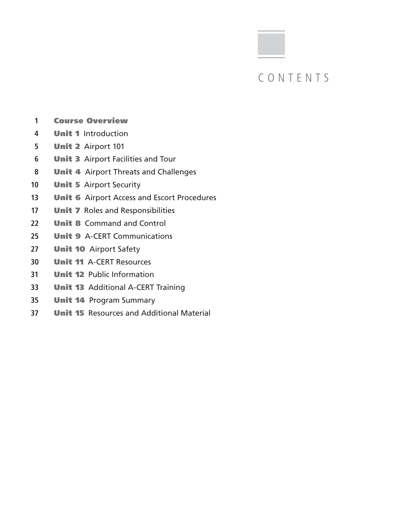### CONTENTS

- Course Overview
- Unit 1 Introduction
- Unit 2 Airport 101
- **Unit 3** Airport Facilities and Tour
- Unit 4 Airport Threats and Challenges
- **Unit 5** Airport Security
- **Unit 6** Airport Access and Escort Procedures
- **Unit 7** Roles and Responsibilities
- **Unit 8** Command and Control
- Unit 9 A-CERT Communications
- **Unit 10** Airport Safety
- Unit 11 A-CERT Resources
- Unit 12 Public Information
- Unit 13 Additional A-CERT Training
- Unit 14 Program Summary
- Unit 15 Resources and Additional Material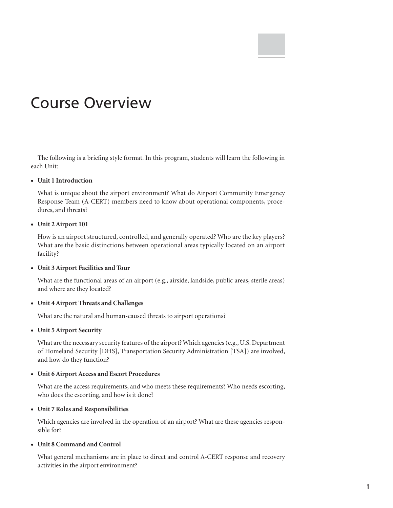# Course Overview

The following is a briefing style format. In this program, students will learn the following in each Unit:

#### • **Unit 1 Introduction**

What is unique about the airport environment? What do Airport Community Emergency Response Team (A-CERT) members need to know about operational components, procedures, and threats?

#### • **Unit 2 Airport 101**

How is an airport structured, controlled, and generally operated? Who are the key players? What are the basic distinctions between operational areas typically located on an airport facility?

#### • **Unit 3 Airport Facilities and Tour**

What are the functional areas of an airport (e.g., airside, landside, public areas, sterile areas) and where are they located?

#### • **Unit 4 Airport Threats and Challenges**

What are the natural and human-caused threats to airport operations?

#### • **Unit 5 Airport Security**

What are the necessary security features of the airport? Which agencies (e.g., U.S. Department of Homeland Security [DHS], Transportation Security Administration [TSA]) are involved, and how do they function?

#### • **Unit 6 Airport Access and Escort Procedures**

What are the access requirements, and who meets these requirements? Who needs escorting, who does the escorting, and how is it done?

#### • **Unit 7 Roles and Responsibilities**

Which agencies are involved in the operation of an airport? What are these agencies responsible for?

#### • **Unit 8 Command and Control**

What general mechanisms are in place to direct and control A-CERT response and recovery activities in the airport environment?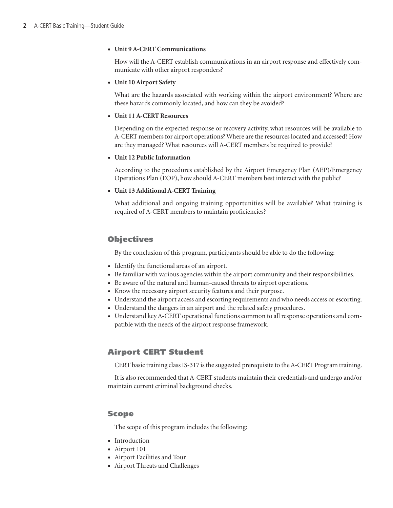#### • **Unit 9 A-CERT Communications**

How will the A-CERT establish communications in an airport response and effectively communicate with other airport responders?

#### • **Unit 10 Airport Safety**

What are the hazards associated with working within the airport environment? Where are these hazards commonly located, and how can they be avoided?

#### • **Unit 11 A-CERT Resources**

Depending on the expected response or recovery activity, what resources will be available to A-CERT members for airport operations? Where are the resources located and accessed? How are they managed? What resources will A-CERT members be required to provide?

#### • **Unit 12 Public Information**

According to the procedures established by the Airport Emergency Plan (AEP)/Emergency Operations Plan (EOP), how should A-CERT members best interact with the public?

#### • **Unit 13 Additional A-CERT Training**

What additional and ongoing training opportunities will be available? What training is required of A-CERT members to maintain proficiencies?

#### **Objectives**

By the conclusion of this program, participants should be able to do the following:

- • Identify the functional areas of an airport.
- • Be familiar with various agencies within the airport community and their responsibilities.
- Be aware of the natural and human-caused threats to airport operations.
- Know the necessary airport security features and their purpose.
- • Understand the airport access and escorting requirements and who needs access or escorting.
- Understand the dangers in an airport and the related safety procedures.
- • Understand key A-CERT operational functions common to all response operations and compatible with the needs of the airport response framework.

#### Airport CERT Student

CERT basic training class IS-317 is the suggested prerequisite to the A-CERT Program training.

It is also recommended that A-CERT students maintain their credentials and undergo and/or maintain current criminal background checks.

#### Scope

The scope of this program includes the following:

- Introduction
- Airport 101
- • Airport Facilities and Tour
- • Airport Threats and Challenges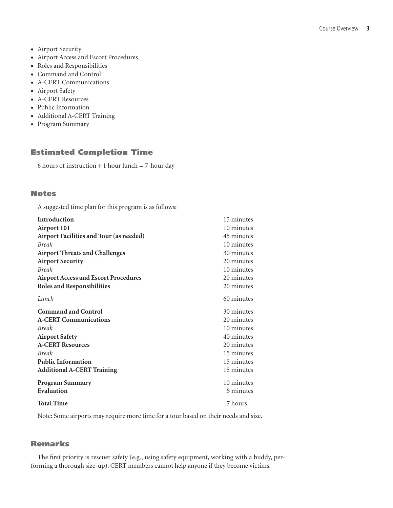- Airport Security
- • Airport Access and Escort Procedures
- • Roles and Responsibilities
- • Command and Control
- • A-CERT Communications
- Airport Safety
- A-CERT Resources
- • Public Information
- • Additional A-CERT Training
- • Program Summary

#### Estimated Completion Time

6 hours of instruction  $+ 1$  hour lunch  $= 7$ -hour day

#### **Notes**

A suggested time plan for this program is as follows:

| Introduction                                | 15 minutes |
|---------------------------------------------|------------|
| <b>Airport 101</b>                          | 10 minutes |
| Airport Facilities and Tour (as needed)     | 45 minutes |
| <b>Break</b>                                | 10 minutes |
| <b>Airport Threats and Challenges</b>       | 30 minutes |
| <b>Airport Security</b>                     | 20 minutes |
| <b>Break</b>                                | 10 minutes |
| <b>Airport Access and Escort Procedures</b> | 20 minutes |
| <b>Roles and Responsibilities</b>           | 20 minutes |
| Lunch                                       | 60 minutes |
| <b>Command and Control</b>                  | 30 minutes |
| <b>A-CERT Communications</b>                | 20 minutes |
| <b>Break</b>                                | 10 minutes |
| <b>Airport Safety</b>                       | 40 minutes |
| <b>A-CERT Resources</b>                     | 20 minutes |
| <b>Break</b>                                | 15 minutes |
| <b>Public Information</b>                   | 15 minutes |
| <b>Additional A-CERT Training</b>           | 15 minutes |
| <b>Program Summary</b>                      | 10 minutes |
| Evaluation                                  | 5 minutes  |
| <b>Total Time</b>                           | 7 hours    |

Note: Some airports may require more time for a tour based on their needs and size.

#### Remarks

The first priority is rescuer safety (e.g., using safety equipment, working with a buddy, performing a thorough size-up). CERT members cannot help anyone if they become victims.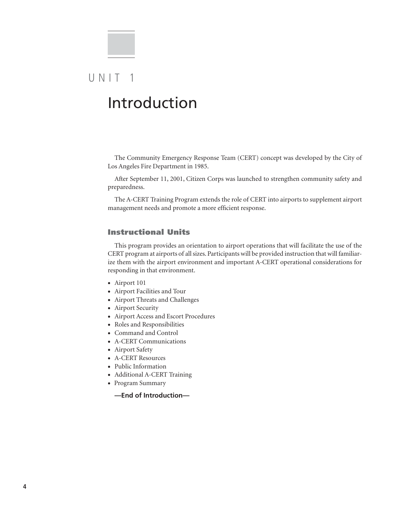# $U N IT 1$ Introduction

The Community Emergency Response Team (CERT) concept was developed by the City of Los Angeles Fire Department in 1985.

After September 11, 2001, Citizen Corps was launched to strengthen community safety and preparedness.

The A-CERT Training Program extends the role of CERT into airports to supplement airport management needs and promote a more efficient response.

#### Instructional Units

This program provides an orientation to airport operations that will facilitate the use of the CERT program at airports of all sizes. Participants will be provided instruction that will familiarize them with the airport environment and important A-CERT operational considerations for responding in that environment.

- Airport 101
- • Airport Facilities and Tour
- • Airport Threats and Challenges
- Airport Security
- • Airport Access and Escort Procedures
- • Roles and Responsibilities
- • Command and Control
- • A-CERT Communications
- Airport Safety
- A-CERT Resources
- • Public Information
- • Additional A-CERT Training
- • Program Summary
	- **—End of Introduction—**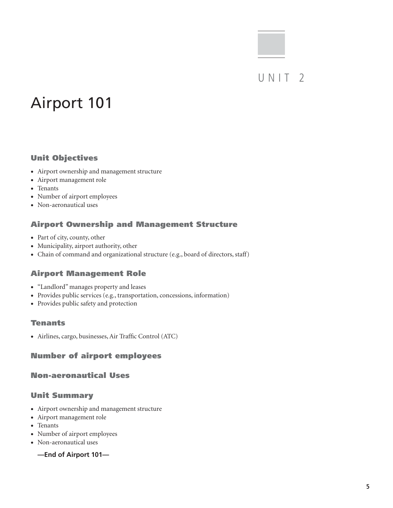### UNIT<sub>2</sub>

# Airport 101

#### Unit Objectives

- • Airport ownership and management structure
- • Airport management role
- Tenants
- • Number of airport employees
- • Non-aeronautical uses

#### Airport Ownership and Management Structure

- Part of city, county, other
- • Municipality, airport authority, other
- Chain of command and organizational structure (e.g., board of directors, staff)

#### Airport Management Role

- • "Landlord" manages property and leases
- • Provides public services (e.g., transportation, concessions, information)
- • Provides public safety and protection

#### Tenants

• Airlines, cargo, businesses, Air Traffic Control (ATC)

#### Number of airport employees

#### Non-aeronautical Uses

#### Unit Summary

- • Airport ownership and management structure
- • Airport management role
- • Tenants
- Number of airport employees
- Non-aeronautical uses
	- **—End of Airport 101—**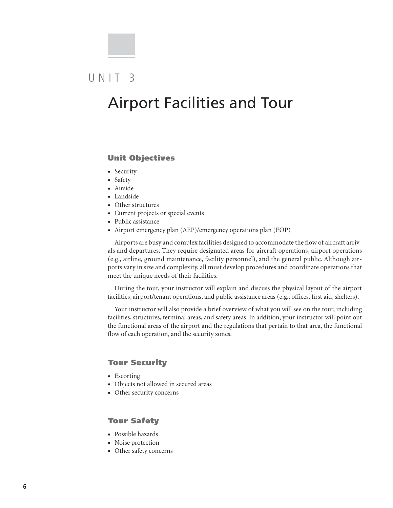### $UNIT<sub>3</sub>$

## Airport Facilities and Tour

#### Unit Objectives

- Security
- Safety
- • Airside
- • Landside
- Other structures
- Current projects or special events
- Public assistance
- Airport emergency plan (AEP)/emergency operations plan (EOP)

Airports are busy and complex facilities designed to accommodate the flow of aircraft arrivals and departures. They require designated areas for aircraft operations, airport operations (e.g., airline, ground maintenance, facility personnel), and the general public. Although airports vary in size and complexity, all must develop procedures and coordinate operations that meet the unique needs of their facilities.

During the tour, your instructor will explain and discuss the physical layout of the airport facilities, airport/tenant operations, and public assistance areas (e.g., offices, first aid, shelters).

Your instructor will also provide a brief overview of what you will see on the tour, including facilities, structures, terminal areas, and safety areas. In addition, your instructor will point out the functional areas of the airport and the regulations that pertain to that area, the functional flow of each operation, and the security zones.

#### Tour Security

- Escorting
- • Objects not allowed in secured areas
- Other security concerns

#### Tour Safety

- • Possible hazards
- Noise protection
- • Other safety concerns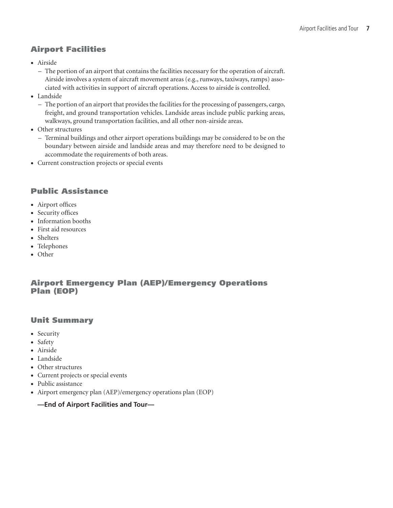#### Airport Facilities

- • Airside
	- The portion of an airport that contains the facilities necessary for the operation of aircraft. Airside involves a system of aircraft movement areas (e.g., runways, taxiways, ramps) associated with activities in support of aircraft operations. Access to airside is controlled.
- • Landside
	- The portion of an airport that provides the facilities for the processing of passengers, cargo, freight, and ground transportation vehicles. Landside areas include public parking areas, walkways, ground transportation facilities, and all other non-airside areas.
- Other structures
	- Terminal buildings and other airport operations buildings may be considered to be on the boundary between airside and landside areas and may therefore need to be designed to accommodate the requirements of both areas.
- • Current construction projects or special events

#### Public Assistance

- • Airport offices
- Security offices
- Information booths
- • First aid resources
- Shelters
- • Telephones
- Other

#### Airport Emergency Plan (AEP)/Emergency Operations Plan (EOP)

#### Unit Summary

- Security
- Safety
- • Airside
- • Landside
- Other structures
- Current projects or special events
- Public assistance
- • Airport emergency plan (AEP)/emergency operations plan (EOP)

#### **—End of Airport Facilities and Tour—**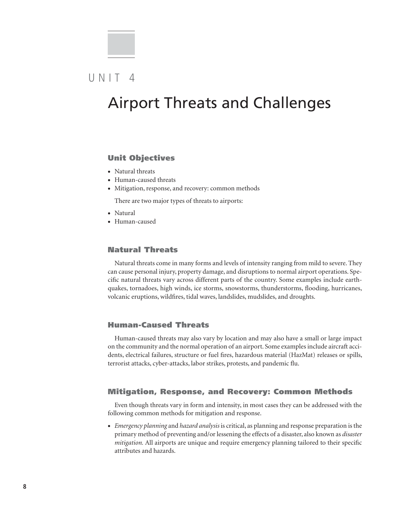### $U NIT 4$

### Airport Threats and Challenges

#### Unit Objectives

- Natural threats
- • Human-caused threats
- Mitigation, response, and recovery: common methods

There are two major types of threats to airports:

- Natural
- • Human-caused

#### Natural Threats

Natural threats come in many forms and levels of intensity ranging from mild to severe. They can cause personal injury, property damage, and disruptions to normal airport operations. Specific natural threats vary across different parts of the country. Some examples include earthquakes, tornadoes, high winds, ice storms, snowstorms, thunderstorms, flooding, hurricanes, volcanic eruptions, wildfires, tidal waves, landslides, mudslides, and droughts.

#### Human-Caused Threats

Human-caused threats may also vary by location and may also have a small or large impact on the community and the normal operation of an airport. Some examples include aircraft accidents, electrical failures, structure or fuel fires, hazardous material (HazMat) releases or spills, terrorist attacks, cyber-attacks, labor strikes, protests, and pandemic flu.

#### Mitigation, Response, and Recovery: Common Methods

Even though threats vary in form and intensity, in most cases they can be addressed with the following common methods for mitigation and response.

• *Emergency planning* and *hazard analysis* is critical, as planning and response preparation is the primary method of preventing and/or lessening the effects of a disaster, also known as *disaster mitigation.* All airports are unique and require emergency planning tailored to their specific attributes and hazards.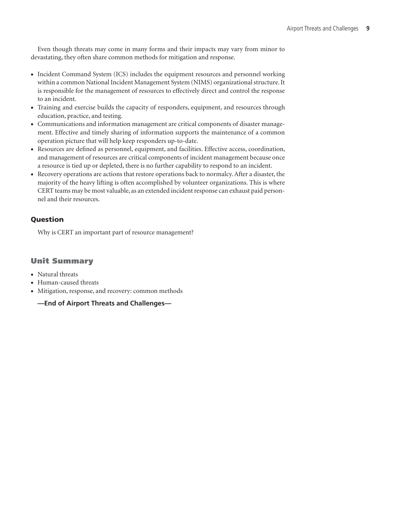Even though threats may come in many forms and their impacts may vary from minor to devastating, they often share common methods for mitigation and response.

- Incident Command System (ICS) includes the equipment resources and personnel working within a common National Incident Management System (NIMS) organizational structure. It is responsible for the management of resources to effectively direct and control the response to an incident.
- • Training and exercise builds the capacity of responders, equipment, and resources through education, practice, and testing.
- Communications and information management are critical components of disaster management. Effective and timely sharing of information supports the maintenance of a common operation picture that will help keep responders up-to-date.
- • Resources are defined as personnel, equipment, and facilities. Effective access, coordination, and management of resources are critical components of incident management because once a resource is tied up or depleted, there is no further capability to respond to an incident.
- • Recovery operations are actions that restore operations back to normalcy. After a disaster, the majority of the heavy lifting is often accomplished by volunteer organizations. This is where CERT teams may be most valuable, as an extended incident response can exhaust paid personnel and their resources.

#### Question

Why is CERT an important part of resource management?

#### Unit Summary

- Natural threats
- • Human-caused threats
- • Mitigation, response, and recovery: common methods

#### **—End of Airport Threats and Challenges—**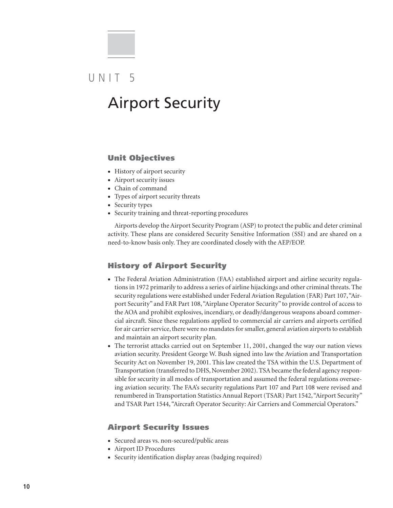# UNIT<sub>5</sub>

# Airport Security

#### Unit Objectives

- History of airport security
- Airport security issues
- • Chain of command
- Types of airport security threats
- Security types
- Security training and threat-reporting procedures

Airports develop the Airport Security Program (ASP) to protect the public and deter criminal activity. These plans are considered Security Sensitive Information (SSI) and are shared on a need-to-know basis only. They are coordinated closely with the AEP/EOP.

#### History of Airport Security

- The Federal Aviation Administration (FAA) established airport and airline security regulations in 1972 primarily to address a series of airline hijackings and other criminal threats. The security regulations were established under Federal Aviation Regulation (FAR) Part 107, "Airport Security" and FAR Part 108, "Airplane Operator Security" to provide control of access to the AOA and prohibit explosives, incendiary, or deadly/dangerous weapons aboard commercial aircraft. Since these regulations applied to commercial air carriers and airports certified for air carrier service, there were no mandates for smaller, general aviation airports to establish and maintain an airport security plan.
- The terrorist attacks carried out on September 11, 2001, changed the way our nation views aviation security. President George W. Bush signed into law the Aviation and Transportation Security Act on November 19, 2001. This law created the TSA within the U.S. Department of Transportation (transferred to DHS, November 2002). TSA became the federal agency responsible for security in all modes of transportation and assumed the federal regulations overseeing aviation security. The FAA's security regulations Part 107 and Part 108 were revised and renumbered in Transportation Statistics Annual Report (TSAR) Part 1542, "Airport Security" and TSAR Part 1544, "Aircraft Operator Security: Air Carriers and Commercial Operators."

#### Airport Security Issues

- • Secured areas vs. non-secured/public areas
- Airport ID Procedures
- Security identification display areas (badging required)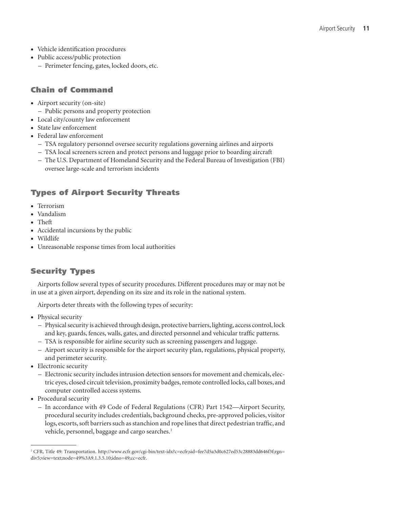- • Vehicle identification procedures
- Public access/public protection
	- Perimeter fencing, gates, locked doors, etc.

#### Chain of Command

- Airport security (on-site)
	- Public persons and property protection
- Local city/county law enforcement
- State law enforcement
- **Federal law enforcement** 
	- TSA regulatory personnel oversee security regulations governing airlines and airports
	- TSA local screeners screen and protect persons and luggage prior to boarding aircraft
	- The U.S. Department of Homeland Security and the Federal Bureau of Investigation (FBI) oversee large-scale and terrorism incidents

#### Types of Airport Security Threats

- Terrorism
- • Vandalism
- • Theft
- Accidental incursions by the public
- Wildlife
- Unreasonable response times from local authorities

#### Security Types

Airports follow several types of security procedures. Different procedures may or may not be in use at a given airport, depending on its size and its role in the national system.

Airports deter threats with the following types of security:

- Physical security
	- Physical security is achieved through design, protective barriers, lighting, access control, lock and key, guards, fences, walls, gates, and directed personnel and vehicular traffic patterns.
	- TSA is responsible for airline security such as screening passengers and luggage.
	- Airport security is responsible for the airport security plan, regulations, physical property, and perimeter security.
- Electronic security
	- Electronic security includes intrusion detection sensors for movement and chemicals, electric eyes, closed circuit television, proximity badges, remote controlled locks, call boxes, and computer controlled access systems.
- Procedural security
	- In accordance with 49 Code of Federal Regulations (CFR) Part 1542—Airport Security, procedural security includes credentials, background checks, pre-approved policies, visitor logs, escorts, soft barriers such as stanchion and rope lines that direct pedestrian traffic, and vehicle, personnel, baggage and cargo searches.<sup>1</sup>

<sup>1</sup> CFR, Title 49: Transportation. http://www.ecfr.gov/cgi-bin/text-idx?c=ecfr;sid=fee7d5a3d0c627ed53c28883dd646f3f;rgn= div5;view=text;node=49%3A9.1.3.5.10;idno=49;cc=ecfr.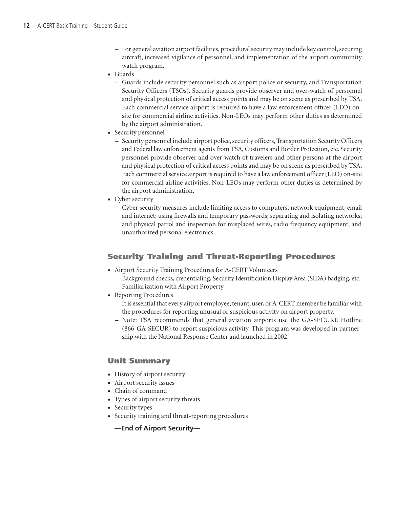- For general aviation airport facilities, procedural security may include key control, securing aircraft, increased vigilance of personnel, and implementation of the airport community watch program.
- • Guards
	- Guards include security personnel such as airport police or security, and Transportation Security Officers (TSOs). Security guards provide observer and over-watch of personnel and physical protection of critical access points and may be on scene as prescribed by TSA. Each commercial service airport is required to have a law enforcement officer (LEO) onsite for commercial airline activities. Non-LEOs may perform other duties as determined by the airport administration.
- Security personnel
	- Security personnel include airport police, security officers, Transportation Security Officers and Federal law enforcement agents from TSA, Customs and Border Protection, etc. Security personnel provide observer and over-watch of travelers and other persons at the airport and physical protection of critical access points and may be on scene as prescribed by TSA. Each commercial service airport is required to have a law enforcement officer (LEO) on-site for commercial airline activities. Non-LEOs may perform other duties as determined by the airport administration.
- Cyber security
	- Cyber security measures include limiting access to computers, network equipment, email and internet; using firewalls and temporary passwords; separating and isolating networks; and physical patrol and inspection for misplaced wires, radio frequency equipment, and unauthorized personal electronics.

#### Security Training and Threat-Reporting Procedures

- Airport Security Training Procedures for A-CERT Volunteers
	- Background checks, credentialing, Security Identification Display Area (SIDA) badging, etc.
	- Familiarization with Airport Property
- Reporting Procedures
	- It is essential that every airport employee, tenant, user, or A-CERT member be familiar with the procedures for reporting unusual or suspicious activity on airport property.
	- Note: TSA recommends that general aviation airports use the GA-SECURE Hotline (866-GA-SECUR) to report suspicious activity. This program was developed in partnership with the National Response Center and launched in 2002.

#### Unit Summary

- History of airport security
- Airport security issues
- • Chain of command
- Types of airport security threats
- Security types
- Security training and threat-reporting procedures

**—End of Airport Security—**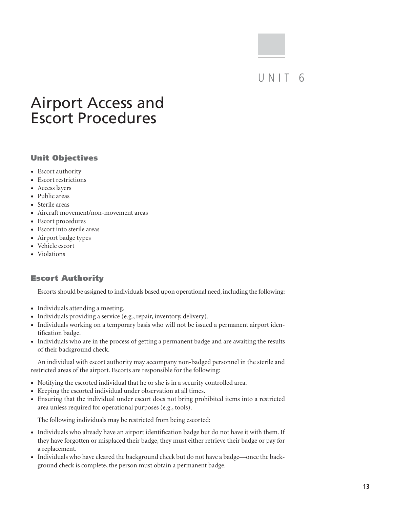### UNIT 6

# Airport Access and Escort Procedures

#### Unit Objectives

- Escort authority
- Escort restrictions
- Access layers
- Public areas
- Sterile areas
- • Aircraft movement/non-movement areas
- Escort procedures
- • Escort into sterile areas
- Airport badge types
- • Vehicle escort
- • Violations

#### Escort Authority

Escorts should be assigned to individuals based upon operational need, including the following:

- Individuals attending a meeting.
- Individuals providing a service (e.g., repair, inventory, delivery).
- Individuals working on a temporary basis who will not be issued a permanent airport identification badge.
- • Individuals who are in the process of getting a permanent badge and are awaiting the results of their background check.

An individual with escort authority may accompany non-badged personnel in the sterile and restricted areas of the airport. Escorts are responsible for the following:

- Notifying the escorted individual that he or she is in a security controlled area.
- • Keeping the escorted individual under observation at all times.
- • Ensuring that the individual under escort does not bring prohibited items into a restricted area unless required for operational purposes (e.g., tools).

The following individuals may be restricted from being escorted:

- Individuals who already have an airport identification badge but do not have it with them. If they have forgotten or misplaced their badge, they must either retrieve their badge or pay for a replacement.
- Individuals who have cleared the background check but do not have a badge—once the background check is complete, the person must obtain a permanent badge.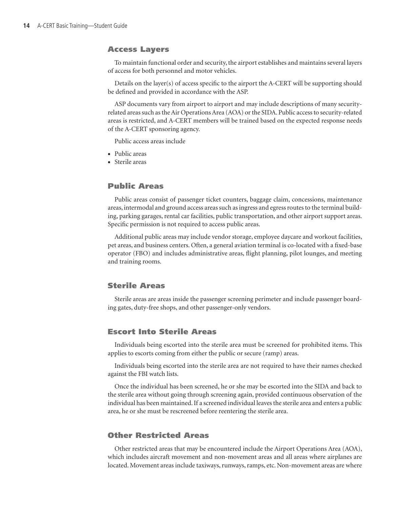#### Access Layers

To maintain functional order and security, the airport establishes and maintains several layers of access for both personnel and motor vehicles.

Details on the layer(s) of access specific to the airport the A-CERT will be supporting should be defined and provided in accordance with the ASP.

ASP documents vary from airport to airport and may include descriptions of many securityrelated areas such as the Air Operations Area (AOA) or the SIDA. Public access to security-related areas is restricted, and A-CERT members will be trained based on the expected response needs of the A-CERT sponsoring agency.

Public access areas include

- Public areas
- Sterile areas

#### Public Areas

Public areas consist of passenger ticket counters, baggage claim, concessions, maintenance areas, intermodal and ground access areas such as ingress and egress routes to the terminal building, parking garages, rental car facilities, public transportation, and other airport support areas. Specific permission is not required to access public areas.

Additional public areas may include vendor storage, employee daycare and workout facilities, pet areas, and business centers. Often, a general aviation terminal is co-located with a fixed-base operator (FBO) and includes administrative areas, flight planning, pilot lounges, and meeting and training rooms.

#### Sterile Areas

Sterile areas are areas inside the passenger screening perimeter and include passenger boarding gates, duty-free shops, and other passenger-only vendors.

#### Escort Into Sterile Areas

Individuals being escorted into the sterile area must be screened for prohibited items. This applies to escorts coming from either the public or secure (ramp) areas.

Individuals being escorted into the sterile area are not required to have their names checked against the FBI watch lists.

Once the individual has been screened, he or she may be escorted into the SIDA and back to the sterile area without going through screening again, provided continuous observation of the individual has been maintained. If a screened individual leaves the sterile area and enters a public area, he or she must be rescreened before reentering the sterile area.

#### Other Restricted Areas

Other restricted areas that may be encountered include the Airport Operations Area (AOA), which includes aircraft movement and non-movement areas and all areas where airplanes are located. Movement areas include taxiways, runways, ramps, etc. Non-movement areas are where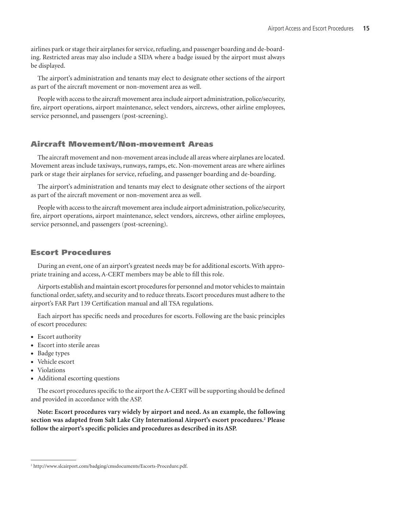airlines park or stage their airplanes for service, refueling, and passenger boarding and de-boarding. Restricted areas may also include a SIDA where a badge issued by the airport must always be displayed.

The airport's administration and tenants may elect to designate other sections of the airport as part of the aircraft movement or non-movement area as well.

People with access to the aircraft movement area include airport administration, police/security, fire, airport operations, airport maintenance, select vendors, aircrews, other airline employees, service personnel, and passengers (post-screening).

#### Aircraft Movement/Non-movement Areas

The aircraft movement and non-movement areas include all areas where airplanes are located. Movement areas include taxiways, runways, ramps, etc. Non-movement areas are where airlines park or stage their airplanes for service, refueling, and passenger boarding and de-boarding.

The airport's administration and tenants may elect to designate other sections of the airport as part of the aircraft movement or non-movement area as well.

People with access to the aircraft movement area include airport administration, police/security, fire, airport operations, airport maintenance, select vendors, aircrews, other airline employees, service personnel, and passengers (post-screening).

#### Escort Procedures

During an event, one of an airport's greatest needs may be for additional escorts. With appropriate training and access, A-CERT members may be able to fill this role.

Airports establish and maintain escort procedures for personnel and motor vehicles to maintain functional order, safety, and security and to reduce threats. Escort procedures must adhere to the airport's FAR Part 139 Certification manual and all TSA regulations.

Each airport has specific needs and procedures for escorts. Following are the basic principles of escort procedures:

- Escort authority
- • Escort into sterile areas
- Badge types
- Vehicle escort
- • Violations
- Additional escorting questions

The escort procedures specific to the airport the A-CERT will be supporting should be defined and provided in accordance with the ASP.

**Note: Escort procedures vary widely by airport and need. As an example, the following**  section was adapted from Salt Lake City International Airport's escort procedures.<sup>2</sup> Please **follow the airport's specific policies and procedures as described in its ASP.**

<sup>2</sup> http://www.slcairport.com/badging/cmsdocuments/Escorts-Procedure.pdf.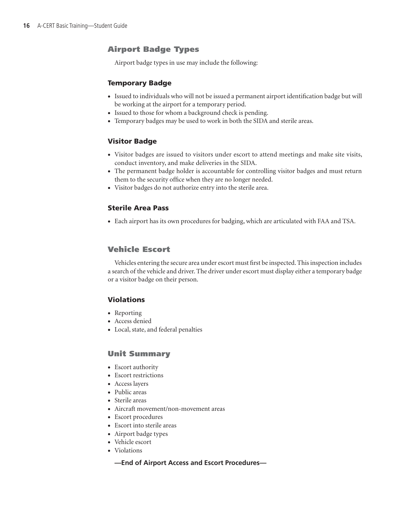#### Airport Badge Types

Airport badge types in use may include the following:

#### Temporary Badge

- • Issued to individuals who will not be issued a permanent airport identification badge but will be working at the airport for a temporary period.
- Issued to those for whom a background check is pending.
- Temporary badges may be used to work in both the SIDA and sterile areas.

#### Visitor Badge

- • Visitor badges are issued to visitors under escort to attend meetings and make site visits, conduct inventory, and make deliveries in the SIDA.
- • The permanent badge holder is accountable for controlling visitor badges and must return them to the security office when they are no longer needed.
- Visitor badges do not authorize entry into the sterile area.

#### Sterile Area Pass

• Each airport has its own procedures for badging, which are articulated with FAA and TSA.

#### Vehicle Escort

Vehicles entering the secure area under escort must first be inspected. This inspection includes a search of the vehicle and driver. The driver under escort must display either a temporary badge or a visitor badge on their person.

#### Violations

- • Reporting
- Access denied
- Local, state, and federal penalties

#### Unit Summary

- Escort authority
- Escort restrictions
- Access layers
- Public areas
- Sterile areas
- Aircraft movement/non-movement areas
- Escort procedures
- • Escort into sterile areas
- • Airport badge types
- • Vehicle escort
- Violations

#### **—End of Airport Access and Escort Procedures—**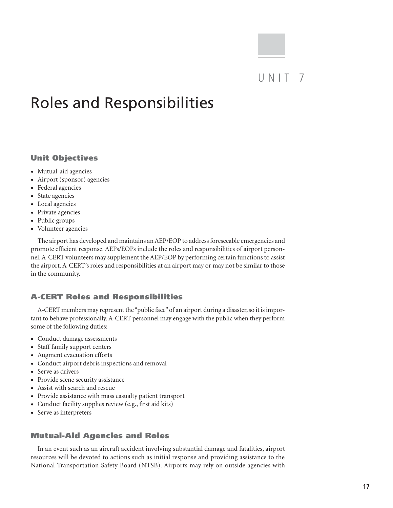### UNIT<sub>7</sub>

# Roles and Responsibilities

#### Unit Objectives

- Mutual-aid agencies
- • Airport (sponsor) agencies
- Federal agencies
- State agencies
- • Local agencies
- • Private agencies
- Public groups
- • Volunteer agencies

The airport has developed and maintains an AEP/EOP to address foreseeable emergencies and promote efficient response. AEPs/EOPs include the roles and responsibilities of airport personnel. A-CERT volunteers may supplement the AEP/EOP by performing certain functions to assist the airport. A-CERT's roles and responsibilities at an airport may or may not be similar to those in the community.

#### A-CERT Roles and Responsibilities

A-CERT members may represent the "public face" of an airport during a disaster, so it is important to behave professionally. A-CERT personnel may engage with the public when they perform some of the following duties:

- • Conduct damage assessments
- Staff family support centers
- Augment evacuation efforts
- • Conduct airport debris inspections and removal
- Serve as drivers
- Provide scene security assistance
- • Assist with search and rescue
- • Provide assistance with mass casualty patient transport
- Conduct facility supplies review (e.g., first aid kits)
- • Serve as interpreters

#### Mutual-Aid Agencies and Roles

In an event such as an aircraft accident involving substantial damage and fatalities, airport resources will be devoted to actions such as initial response and providing assistance to the National Transportation Safety Board (NTSB). Airports may rely on outside agencies with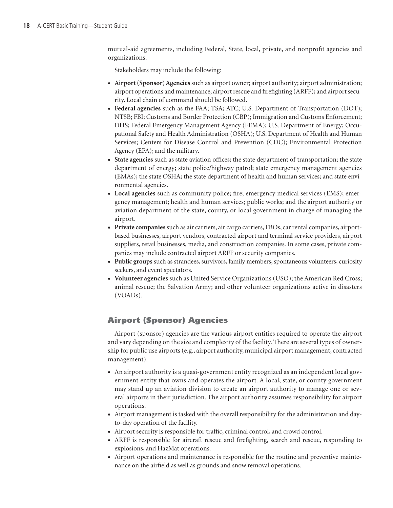mutual-aid agreements, including Federal, State, local, private, and nonprofit agencies and organizations.

Stakeholders may include the following:

- • **Airport (Sponsor) Agencies** such as airport owner; airport authority; airport administration; airport operations and maintenance; airport rescue and firefighting (ARFF); and airport security. Local chain of command should be followed.
- • **Federal agencies** such as the FAA; TSA; ATC; U.S. Department of Transportation (DOT); NTSB; FBI; Customs and Border Protection (CBP); Immigration and Customs Enforcement; DHS; Federal Emergency Management Agency (FEMA); U.S. Department of Energy; Occupational Safety and Health Administration (OSHA); U.S. Department of Health and Human Services; Centers for Disease Control and Prevention (CDC); Environmental Protection Agency (EPA); and the military.
- **State agencies** such as state aviation offices; the state department of transportation; the state department of energy; state police/highway patrol; state emergency management agencies (EMAs); the state OSHA; the state department of health and human services; and state environmental agencies.
- • **Local agencies** such as community police; fire; emergency medical services (EMS); emergency management; health and human services; public works; and the airport authority or aviation department of the state, county, or local government in charge of managing the airport.
- • **Private companies** such as air carriers, air cargo carriers, FBOs, car rental companies, airportbased businesses, airport vendors, contracted airport and terminal service providers, airport suppliers, retail businesses, media, and construction companies. In some cases, private companies may include contracted airport ARFF or security companies.
- • **Public groups** such as strandees, survivors, family members, spontaneous volunteers, curiosity seekers, and event spectators.
- • **Volunteer agencies** such as United Service Organizations (USO); the American Red Cross; animal rescue; the Salvation Army; and other volunteer organizations active in disasters (VOADs).

#### Airport (Sponsor) Agencies

Airport (sponsor) agencies are the various airport entities required to operate the airport and vary depending on the size and complexity of the facility. There are several types of ownership for public use airports (e.g., airport authority, municipal airport management, contracted management).

- An airport authority is a quasi-government entity recognized as an independent local government entity that owns and operates the airport. A local, state, or county government may stand up an aviation division to create an airport authority to manage one or several airports in their jurisdiction. The airport authority assumes responsibility for airport operations.
- Airport management is tasked with the overall responsibility for the administration and dayto-day operation of the facility.
- • Airport security is responsible for traffic, criminal control, and crowd control.
- ARFF is responsible for aircraft rescue and firefighting, search and rescue, responding to explosions, and HazMat operations.
- Airport operations and maintenance is responsible for the routine and preventive maintenance on the airfield as well as grounds and snow removal operations.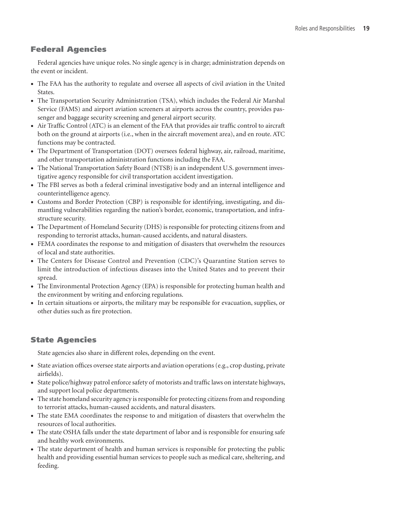#### Federal Agencies

Federal agencies have unique roles. No single agency is in charge; administration depends on the event or incident.

- • The FAA has the authority to regulate and oversee all aspects of civil aviation in the United States.
- • The Transportation Security Administration (TSA), which includes the Federal Air Marshal Service (FAMS) and airport aviation screeners at airports across the country, provides passenger and baggage security screening and general airport security.
- • Air Traffic Control (ATC) is an element of the FAA that provides air traffic control to aircraft both on the ground at airports (i.e., when in the aircraft movement area), and en route. ATC functions may be contracted.
- • The Department of Transportation (DOT) oversees federal highway, air, railroad, maritime, and other transportation administration functions including the FAA.
- The National Transportation Safety Board (NTSB) is an independent U.S. government investigative agency responsible for civil transportation accident investigation.
- • The FBI serves as both a federal criminal investigative body and an internal intelligence and counterintelligence agency.
- • Customs and Border Protection (CBP) is responsible for identifying, investigating, and dismantling vulnerabilities regarding the nation's border, economic, transportation, and infrastructure security.
- The Department of Homeland Security (DHS) is responsible for protecting citizens from and responding to terrorist attacks, human-caused accidents, and natural disasters.
- FEMA coordinates the response to and mitigation of disasters that overwhelm the resources of local and state authorities.
- • The Centers for Disease Control and Prevention (CDC)'s Quarantine Station serves to limit the introduction of infectious diseases into the United States and to prevent their spread.
- The Environmental Protection Agency (EPA) is responsible for protecting human health and the environment by writing and enforcing regulations.
- • In certain situations or airports, the military may be responsible for evacuation, supplies, or other duties such as fire protection.

#### State Agencies

State agencies also share in different roles, depending on the event.

- State aviation offices oversee state airports and aviation operations (e.g., crop dusting, private airfields).
- State police/highway patrol enforce safety of motorists and traffic laws on interstate highways, and support local police departments.
- • The state homeland security agency is responsible for protecting citizens from and responding to terrorist attacks, human-caused accidents, and natural disasters.
- The state EMA coordinates the response to and mitigation of disasters that overwhelm the resources of local authorities.
- The state OSHA falls under the state department of labor and is responsible for ensuring safe and healthy work environments.
- The state department of health and human services is responsible for protecting the public health and providing essential human services to people such as medical care, sheltering, and feeding.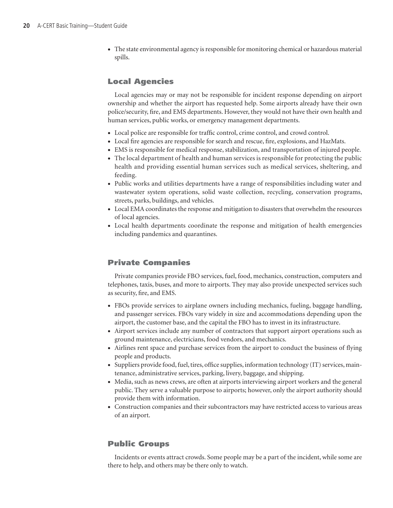• The state environmental agency is responsible for monitoring chemical or hazardous material spills.

#### Local Agencies

Local agencies may or may not be responsible for incident response depending on airport ownership and whether the airport has requested help. Some airports already have their own police/security, fire, and EMS departments. However, they would not have their own health and human services, public works, or emergency management departments.

- Local police are responsible for traffic control, crime control, and crowd control.
- • Local fire agencies are responsible for search and rescue, fire, explosions, and HazMats.
- • EMS is responsible for medical response, stabilization, and transportation of injured people.
- The local department of health and human services is responsible for protecting the public health and providing essential human services such as medical services, sheltering, and feeding.
- • Public works and utilities departments have a range of responsibilities including water and wastewater system operations, solid waste collection, recycling, conservation programs, streets, parks, buildings, and vehicles.
- • Local EMA coordinates the response and mitigation to disasters that overwhelm the resources of local agencies.
- Local health departments coordinate the response and mitigation of health emergencies including pandemics and quarantines.

#### Private Companies

Private companies provide FBO services, fuel, food, mechanics, construction, computers and telephones, taxis, buses, and more to airports. They may also provide unexpected services such as security, fire, and EMS.

- FBOs provide services to airplane owners including mechanics, fueling, baggage handling, and passenger services. FBOs vary widely in size and accommodations depending upon the airport, the customer base, and the capital the FBO has to invest in its infrastructure.
- Airport services include any number of contractors that support airport operations such as ground maintenance, electricians, food vendors, and mechanics.
- Airlines rent space and purchase services from the airport to conduct the business of flying people and products.
- Suppliers provide food, fuel, tires, office supplies, information technology (IT) services, maintenance, administrative services, parking, livery, baggage, and shipping.
- Media, such as news crews, are often at airports interviewing airport workers and the general public. They serve a valuable purpose to airports; however, only the airport authority should provide them with information.
- • Construction companies and their subcontractors may have restricted access to various areas of an airport.

#### Public Groups

Incidents or events attract crowds. Some people may be a part of the incident, while some are there to help, and others may be there only to watch.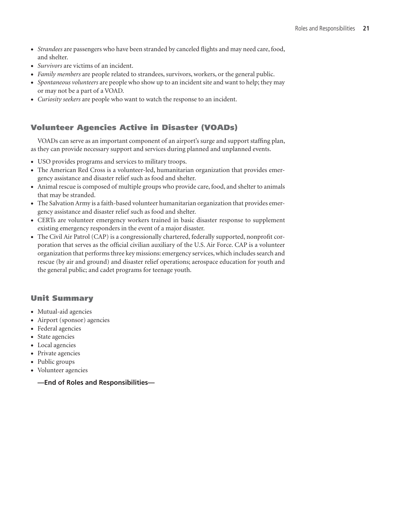- • *Strandees* are passengers who have been stranded by canceled flights and may need care, food, and shelter.
- • *Survivors* are victims of an incident.
- • *Family members* are people related to strandees, survivors, workers, or the general public.
- Spontaneous volunteers are people who show up to an incident site and want to help; they may or may not be a part of a VOAD.
- • *Curiosity seekers* are people who want to watch the response to an incident.

#### Volunteer Agencies Active in Disaster (VOADs)

VOADs can serve as an important component of an airport's surge and support staffing plan, as they can provide necessary support and services during planned and unplanned events.

- • USO provides programs and services to military troops.
- The American Red Cross is a volunteer-led, humanitarian organization that provides emergency assistance and disaster relief such as food and shelter.
- • Animal rescue is composed of multiple groups who provide care, food, and shelter to animals that may be stranded.
- The Salvation Army is a faith-based volunteer humanitarian organization that provides emergency assistance and disaster relief such as food and shelter.
- • CERTs are volunteer emergency workers trained in basic disaster response to supplement existing emergency responders in the event of a major disaster.
- The Civil Air Patrol (CAP) is a congressionally chartered, federally supported, nonprofit corporation that serves as the official civilian auxiliary of the U.S. Air Force. CAP is a volunteer organization that performs three key missions: emergency services, which includes search and rescue (by air and ground) and disaster relief operations; aerospace education for youth and the general public; and cadet programs for teenage youth.

#### Unit Summary

- Mutual-aid agencies
- • Airport (sponsor) agencies
- Federal agencies
- State agencies
- Local agencies
- Private agencies
- Public groups
- • Volunteer agencies
	- **—End of Roles and Responsibilities—**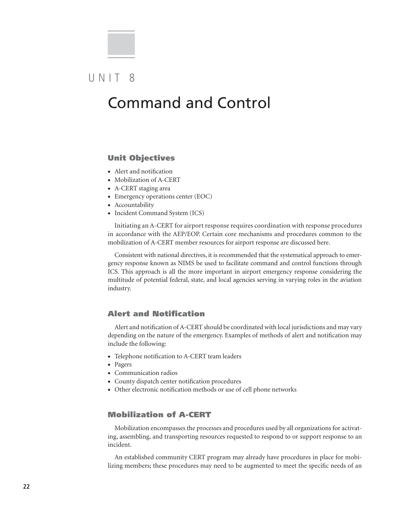### UNIT 8

### Command and Control

#### Unit Objectives

- Alert and notification
- Mobilization of A-CERT
- A-CERT staging area
- Emergency operations center (EOC)
- Accountability
- Incident Command System (ICS)

Initiating an A-CERT for airport response requires coordination with response procedures in accordance with the AEP/EOP. Certain core mechanisms and procedures common to the mobilization of A-CERT member resources for airport response are discussed here.

Consistent with national directives, it is recommended that the systematical approach to emergency response known as NIMS be used to facilitate command and control functions through ICS. This approach is all the more important in airport emergency response considering the multitude of potential federal, state, and local agencies serving in varying roles in the aviation industry.

#### Alert and Notification

Alert and notification of A-CERT should be coordinated with local jurisdictions and may vary depending on the nature of the emergency. Examples of methods of alert and notification may include the following:

- • Telephone notification to A-CERT team leaders
- • Pagers
- Communication radios
- • County dispatch center notification procedures
- Other electronic notification methods or use of cell phone networks

#### Mobilization of A-CERT

Mobilization encompasses the processes and procedures used by all organizations for activating, assembling, and transporting resources requested to respond to or support response to an incident.

An established community CERT program may already have procedures in place for mobilizing members; these procedures may need to be augmented to meet the specific needs of an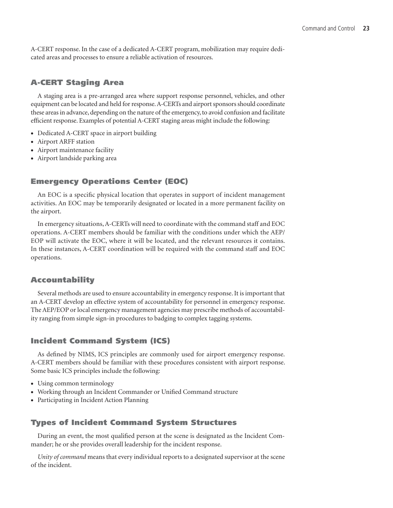A-CERT response. In the case of a dedicated A-CERT program, mobilization may require dedicated areas and processes to ensure a reliable activation of resources.

#### A-CERT Staging Area

A staging area is a pre-arranged area where support response personnel, vehicles, and other equipment can be located and held for response. A-CERTs and airport sponsors should coordinate these areas in advance, depending on the nature of the emergency, to avoid confusion and facilitate efficient response. Examples of potential A-CERT staging areas might include the following:

- Dedicated A-CERT space in airport building
- Airport ARFF station
- Airport maintenance facility
- • Airport landside parking area

#### Emergency Operations Center (EOC)

An EOC is a specific physical location that operates in support of incident management activities. An EOC may be temporarily designated or located in a more permanent facility on the airport.

In emergency situations, A-CERTs will need to coordinate with the command staff and EOC operations. A-CERT members should be familiar with the conditions under which the AEP/ EOP will activate the EOC, where it will be located, and the relevant resources it contains. In these instances, A-CERT coordination will be required with the command staff and EOC operations.

#### Accountability

Several methods are used to ensure accountability in emergency response. It is important that an A-CERT develop an effective system of accountability for personnel in emergency response. The AEP/EOP or local emergency management agencies may prescribe methods of accountability ranging from simple sign-in procedures to badging to complex tagging systems.

#### Incident Command System (ICS)

As defined by NIMS, ICS principles are commonly used for airport emergency response. A-CERT members should be familiar with these procedures consistent with airport response. Some basic ICS principles include the following:

- Using common terminology
- • Working through an Incident Commander or Unified Command structure
- Participating in Incident Action Planning

#### Types of Incident Command System Structures

During an event, the most qualified person at the scene is designated as the Incident Commander; he or she provides overall leadership for the incident response.

*Unity of command* means that every individual reports to a designated supervisor at the scene of the incident.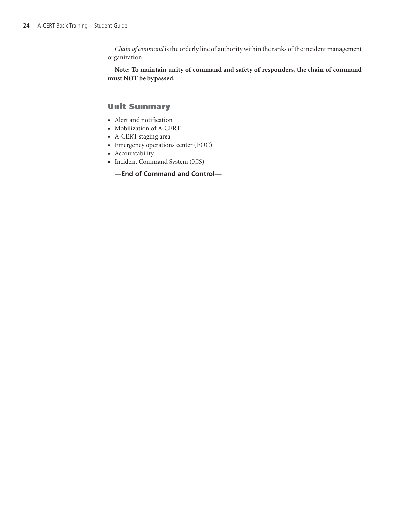*Chain of command* is the orderly line of authority within the ranks of the incident management organization.

**Note: To maintain unity of command and safety of responders, the chain of command must NOT be bypassed.**

#### Unit Summary

- • Alert and notification
- Mobilization of A-CERT
- A-CERT staging area
- Emergency operations center (EOC)
- Accountability
- Incident Command System (ICS)

#### **—End of Command and Control—**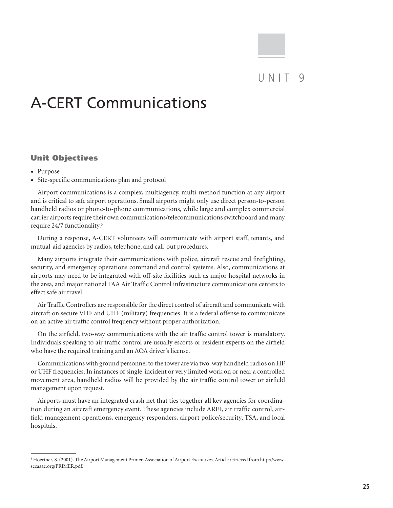### $UNIT9$

### A-CERT Communications

#### Unit Objectives

- Purpose
- • Site-specific communications plan and protocol

Airport communications is a complex, multiagency, multi-method function at any airport and is critical to safe airport operations. Small airports might only use direct person-to-person handheld radios or phone-to-phone communications, while large and complex commercial carrier airports require their own communications/telecommunications switchboard and many require 24/7 functionality.3

During a response, A-CERT volunteers will communicate with airport staff, tenants, and mutual-aid agencies by radios, telephone, and call-out procedures.

Many airports integrate their communications with police, aircraft rescue and firefighting, security, and emergency operations command and control systems. Also, communications at airports may need to be integrated with off-site facilities such as major hospital networks in the area, and major national FAA Air Traffic Control infrastructure communications centers to effect safe air travel.

Air Traffic Controllers are responsible for the direct control of aircraft and communicate with aircraft on secure VHF and UHF (military) frequencies. It is a federal offense to communicate on an active air traffic control frequency without proper authorization.

On the airfield, two-way communications with the air traffic control tower is mandatory. Individuals speaking to air traffic control are usually escorts or resident experts on the airfield who have the required training and an AOA driver's license.

Communications with ground personnel to the tower are via two-way handheld radios on HF or UHF frequencies. In instances of single-incident or very limited work on or near a controlled movement area, handheld radios will be provided by the air traffic control tower or airfield management upon request.

Airports must have an integrated crash net that ties together all key agencies for coordination during an aircraft emergency event. These agencies include ARFF, air traffic control, airfield management operations, emergency responders, airport police/security, TSA, and local hospitals.

<sup>3</sup> Hoertner, S. (2001). The Airport Management Primer. Association of Airport Executives. Article retrieved from http://www. secaaae.org/PRIMER.pdf.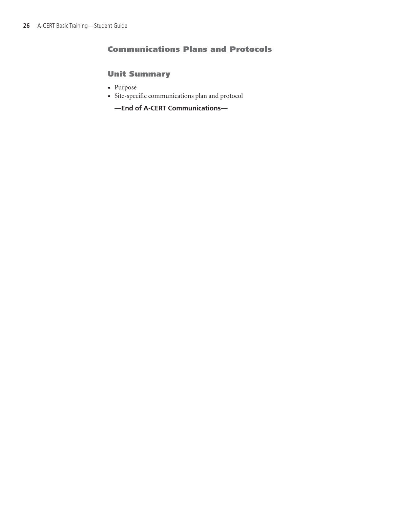#### Communications Plans and Protocols

#### Unit Summary

- • Purpose
- • Site-specific communications plan and protocol

**—End of A-CERT Communications—**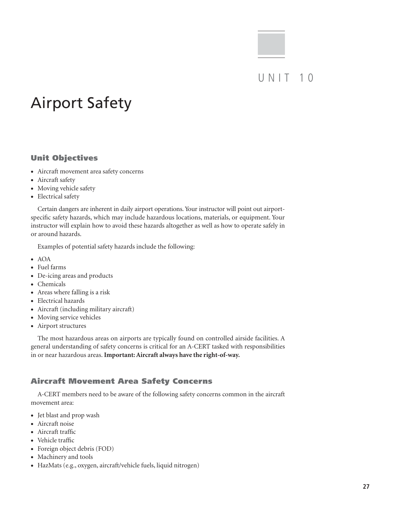### $U N IT 10$

# Airport Safety

#### Unit Objectives

- • Aircraft movement area safety concerns
- Aircraft safety
- Moving vehicle safety
- Electrical safety

Certain dangers are inherent in daily airport operations. Your instructor will point out airportspecific safety hazards, which may include hazardous locations, materials, or equipment. Your instructor will explain how to avoid these hazards altogether as well as how to operate safely in or around hazards.

Examples of potential safety hazards include the following:

- $\bullet$  AOA
- • Fuel farms
- De-icing areas and products
- • Chemicals
- Areas where falling is a risk
- • Electrical hazards
- • Aircraft (including military aircraft)
- Moving service vehicles
- • Airport structures

The most hazardous areas on airports are typically found on controlled airside facilities. A general understanding of safety concerns is critical for an A-CERT tasked with responsibilities in or near hazardous areas. **Important: Aircraft always have the right-of-way.**

#### Aircraft Movement Area Safety Concerns

A-CERT members need to be aware of the following safety concerns common in the aircraft movement area:

- Jet blast and prop wash
- Aircraft noise
- Aircraft traffic
- Vehicle traffic
- Foreign object debris (FOD)
- Machinery and tools
- • HazMats (e.g., oxygen, aircraft/vehicle fuels, liquid nitrogen)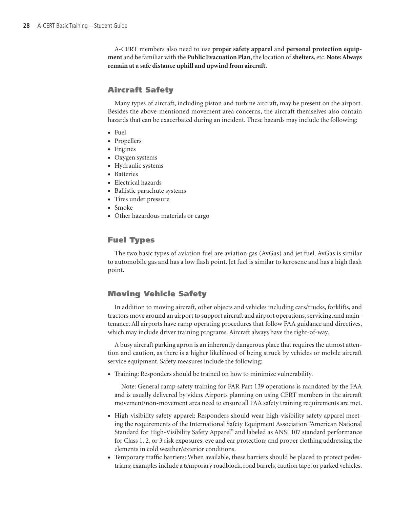A-CERT members also need to use **proper safety apparel** and **personal protection equipment** and be familiar with the **Public Evacuation Plan**, the location of **shelters**, etc. **Note: Always remain at a safe distance uphill and upwind from aircraft.**

#### Aircraft Safety

Many types of aircraft, including piston and turbine aircraft, may be present on the airport. Besides the above-mentioned movement area concerns, the aircraft themselves also contain hazards that can be exacerbated during an incident. These hazards may include the following:

- Fuel
- • Propellers
- Engines
- Oxygen systems
- • Hydraulic systems
- Batteries
- • Electrical hazards
- Ballistic parachute systems
- Tires under pressure
- Smoke
- • Other hazardous materials or cargo

#### Fuel Types

The two basic types of aviation fuel are aviation gas (AvGas) and jet fuel. AvGas is similar to automobile gas and has a low flash point. Jet fuel is similar to kerosene and has a high flash point.

#### Moving Vehicle Safety

In addition to moving aircraft, other objects and vehicles including cars/trucks, forklifts, and tractors move around an airport to support aircraft and airport operations, servicing, and maintenance. All airports have ramp operating procedures that follow FAA guidance and directives, which may include driver training programs. Aircraft always have the right-of-way.

A busy aircraft parking apron is an inherently dangerous place that requires the utmost attention and caution, as there is a higher likelihood of being struck by vehicles or mobile aircraft service equipment. Safety measures include the following:

• Training: Responders should be trained on how to minimize vulnerability.

Note: General ramp safety training for FAR Part 139 operations is mandated by the FAA and is usually delivered by video. Airports planning on using CERT members in the aircraft movement/non-movement area need to ensure all FAA safety training requirements are met.

- High-visibility safety apparel: Responders should wear high-visibility safety apparel meeting the requirements of the International Safety Equipment Association "American National Standard for High-Visibility Safety Apparel" and labeled as ANSI 107 standard performance for Class 1, 2, or 3 risk exposures; eye and ear protection; and proper clothing addressing the elements in cold weather/exterior conditions.
- • Temporary traffic barriers: When available, these barriers should be placed to protect pedestrians; examples include a temporary roadblock, road barrels, caution tape, or parked vehicles.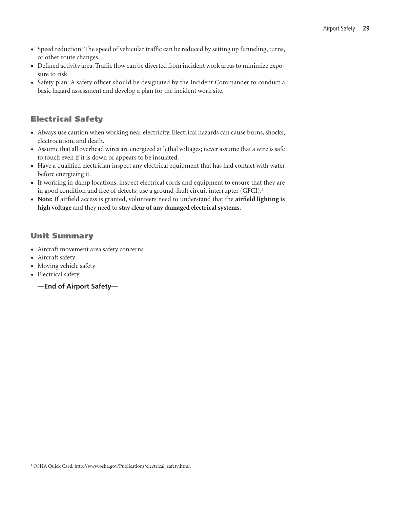- • Speed reduction: The speed of vehicular traffic can be reduced by setting up funneling, turns, or other route changes.
- • Defined activity area: Traffic flow can be diverted from incident work areas to minimize exposure to risk.
- Safety plan: A safety officer should be designated by the Incident Commander to conduct a basic hazard assessment and develop a plan for the incident work site.

#### Electrical Safety

- • Always use caution when working near electricity. Electrical hazards can cause burns, shocks, electrocution, and death.
- • Assume that all overhead wires are energized at lethal voltages; never assume that a wire is safe to touch even if it is down or appears to be insulated.
- • Have a qualified electrician inspect any electrical equipment that has had contact with water before energizing it.
- • If working in damp locations, inspect electrical cords and equipment to ensure that they are in good condition and free of defects; use a ground-fault circuit interrupter (GFCI).4
- • **Note:** If airfield access is granted, volunteers need to understand that the **airfield lighting is high voltage** and they need to **stay clear of any damaged electrical systems.**

#### Unit Summary

- • Aircraft movement area safety concerns
- Aircraft safety
- Moving vehicle safety
- • Electrical safety
	- **—End of Airport Safety—**

<sup>4</sup> OSHA Quick Card. http://www.osha.gov/Publications/electrical\_safety.html.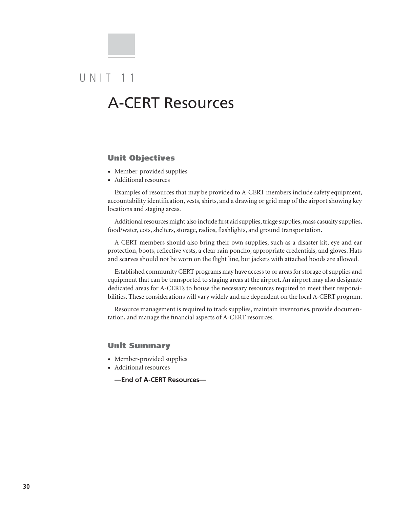### $U N IT 11$

### A-CERT Resources

#### Unit Objectives

- Member-provided supplies
- • Additional resources

Examples of resources that may be provided to A-CERT members include safety equipment, accountability identification, vests, shirts, and a drawing or grid map of the airport showing key locations and staging areas.

Additional resources might also include first aid supplies, triage supplies, mass casualty supplies, food/water, cots, shelters, storage, radios, flashlights, and ground transportation.

A-CERT members should also bring their own supplies, such as a disaster kit, eye and ear protection, boots, reflective vests, a clear rain poncho, appropriate credentials, and gloves. Hats and scarves should not be worn on the flight line, but jackets with attached hoods are allowed.

Established community CERT programs may have access to or areas for storage of supplies and equipment that can be transported to staging areas at the airport. An airport may also designate dedicated areas for A-CERTs to house the necessary resources required to meet their responsibilities. These considerations will vary widely and are dependent on the local A-CERT program.

Resource management is required to track supplies, maintain inventories, provide documentation, and manage the financial aspects of A-CERT resources.

#### Unit Summary

- Member-provided supplies
- • Additional resources
	- **—End of A-CERT Resources—**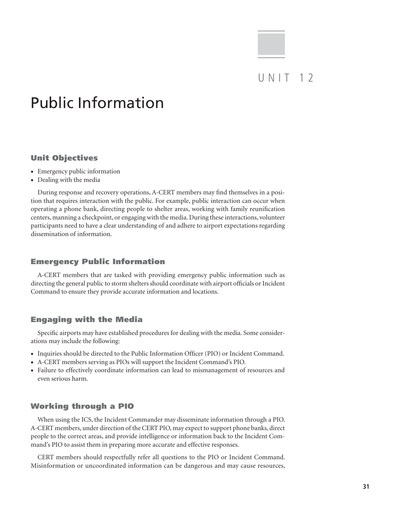### $U NIT 12$

## Public Information

#### Unit Objectives

- Emergency public information
- Dealing with the media

During response and recovery operations, A-CERT members may find themselves in a position that requires interaction with the public. For example, public interaction can occur when operating a phone bank, directing people to shelter areas, working with family reunification centers, manning a checkpoint, or engaging with the media. During these interactions, volunteer participants need to have a clear understanding of and adhere to airport expectations regarding dissemination of information.

#### Emergency Public Information

A-CERT members that are tasked with providing emergency public information such as directing the general public to storm shelters should coordinate with airport officials or Incident Command to ensure they provide accurate information and locations.

#### Engaging with the Media

Specific airports may have established procedures for dealing with the media. Some considerations may include the following:

- Inquiries should be directed to the Public Information Officer (PIO) or Incident Command.
- • A-CERT members serving as PIOs will support the Incident Command's PIO.
- • Failure to effectively coordinate information can lead to mismanagement of resources and even serious harm.

#### Working through a PIO

When using the ICS, the Incident Commander may disseminate information through a PIO. A-CERT members, under direction of the CERT PIO, may expect to support phone banks, direct people to the correct areas, and provide intelligence or information back to the Incident Command's PIO to assist them in preparing more accurate and effective responses.

CERT members should respectfully refer all questions to the PIO or Incident Command. Misinformation or uncoordinated information can be dangerous and may cause resources,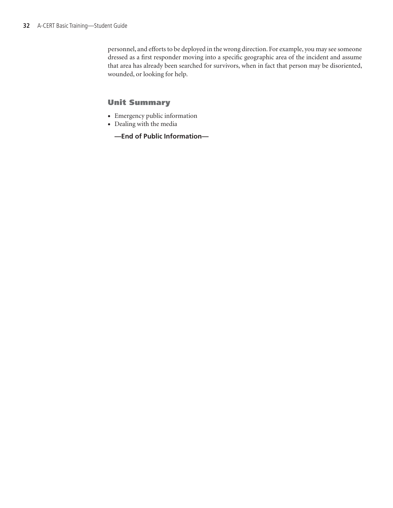personnel, and efforts to be deployed in the wrong direction. For example, you may see someone dressed as a first responder moving into a specific geographic area of the incident and assume that area has already been searched for survivors, when in fact that person may be disoriented, wounded, or looking for help.

#### Unit Summary

- • Emergency public information
- Dealing with the media
	- **—End of Public Information—**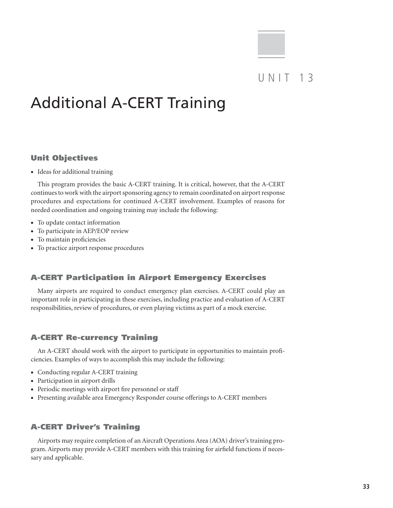# Additional A-CERT Training

#### Unit Objectives

• Ideas for additional training

This program provides the basic A-CERT training. It is critical, however, that the A-CERT continues to work with the airport sponsoring agency to remain coordinated on airport response procedures and expectations for continued A-CERT involvement. Examples of reasons for needed coordination and ongoing training may include the following:

- To update contact information
- To participate in AEP/EOP review
- • To maintain proficiencies
- To practice airport response procedures

#### A-CERT Participation in Airport Emergency Exercises

Many airports are required to conduct emergency plan exercises. A-CERT could play an important role in participating in these exercises, including practice and evaluation of A-CERT responsibilities, review of procedures, or even playing victims as part of a mock exercise.

#### A-CERT Re-currency Training

An A-CERT should work with the airport to participate in opportunities to maintain proficiencies. Examples of ways to accomplish this may include the following:

- Conducting regular A-CERT training
- Participation in airport drills
- Periodic meetings with airport fire personnel or staff
- • Presenting available area Emergency Responder course offerings to A-CERT members

#### A-CERT Driver's Training

Airports may require completion of an Aircraft Operations Area (AOA) driver's training program. Airports may provide A-CERT members with this training for airfield functions if necessary and applicable.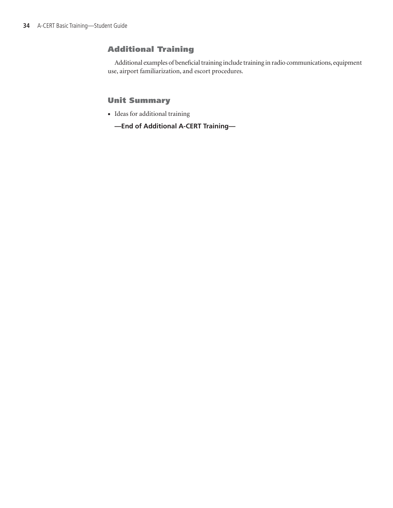#### Additional Training

Additional examples of beneficial training include training in radio communications, equipment use, airport familiarization, and escort procedures.

#### Unit Summary

- • Ideas for additional training
	- **—End of Additional A-CERT Training—**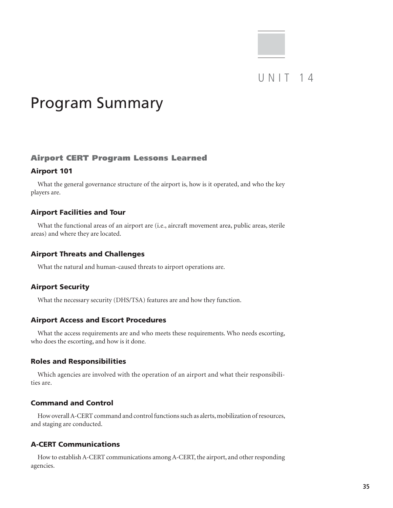### UNIT 14

# Program Summary

#### Airport CERT Program Lessons Learned

#### Airport 101

What the general governance structure of the airport is, how is it operated, and who the key players are.

#### Airport Facilities and Tour

What the functional areas of an airport are (i.e., aircraft movement area, public areas, sterile areas) and where they are located.

#### Airport Threats and Challenges

What the natural and human-caused threats to airport operations are.

#### Airport Security

What the necessary security (DHS/TSA) features are and how they function.

#### Airport Access and Escort Procedures

What the access requirements are and who meets these requirements. Who needs escorting, who does the escorting, and how is it done.

#### Roles and Responsibilities

Which agencies are involved with the operation of an airport and what their responsibilities are.

#### Command and Control

How overall A-CERT command and control functions such as alerts, mobilization of resources, and staging are conducted.

#### A-CERT Communications

How to establish A-CERT communications among A-CERT, the airport, and other responding agencies.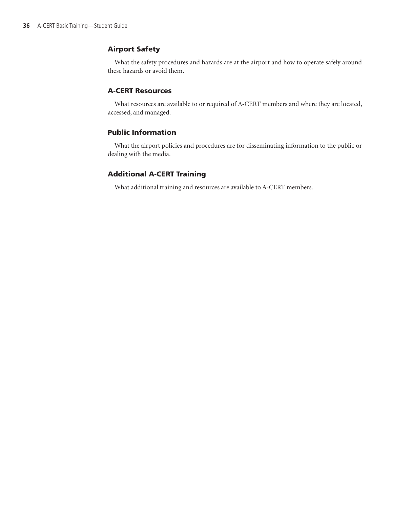#### Airport Safety

What the safety procedures and hazards are at the airport and how to operate safely around these hazards or avoid them.

#### A-CERT Resources

What resources are available to or required of A-CERT members and where they are located, accessed, and managed.

#### Public Information

What the airport policies and procedures are for disseminating information to the public or dealing with the media.

#### Additional A-CERT Training

What additional training and resources are available to A-CERT members.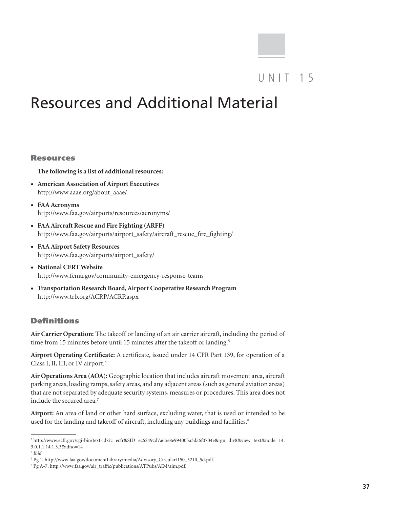### UNIT 15

# Resources and Additional Material

#### Resources

**The following is a list of additional resources:**

- • **American Association of Airport Executives** http://www.aaae.org/about\_aaae/
- • **FAA Acronyms** http://www.faa.gov/airports/resources/acronyms/
- • **FAA Aircraft Rescue and Fire Fighting (ARFF)** http://www.faa.gov/airports/airport\_safety/aircraft\_rescue\_fire\_fighting/
- • **FAA Airport Safety Resources** http://www.faa.gov/airports/airport\_safety/
- • **National CERT Website** http://www.fema.gov/community-emergency-response-teams
- • **Transportation Research Board, Airport Cooperative Research Program** http://www.trb.org/ACRP/ACRP.aspx

#### Definitions

**Air Carrier Operation:** The takeoff or landing of an air carrier aircraft, including the period of time from 15 minutes before until 15 minutes after the takeoff or landing.<sup>5</sup>

**Airport Operating Certificate:** A certificate, issued under 14 CFR Part 139, for operation of a Class I, II, III, or IV airport.6

**Air Operations Area (AOA):** Geographic location that includes aircraft movement area, aircraft parking areas, loading ramps, safety areas, and any adjacent areas (such as general aviation areas) that are not separated by adequate security systems, measures or procedures. This area does not include the secured area.<sup>7</sup>

**Airport:** An area of land or other hard surface, excluding water, that is used or intended to be used for the landing and takeoff of aircraft, including any buildings and facilities.<sup>8</sup>

<sup>5</sup> http://www.ecfr.gov/cgi-bin/text-idx?c=ecfr&SID=ec6249cd7a6be8e994005a3da6f0704e&rgn=div8&view=text&node=14: 3.0.1.1.14.1.3.3&idno=14

<sup>6</sup> *Ibid.*

<sup>7</sup> Pg 1, http://www.faa.gov/documentLibrary/media/Advisory\_Circular/150\_5210\_5d.pdf.

<sup>8</sup> Pg A-7, http://www.faa.gov/air\_traffic/publications/ATPubs/AIM/aim.pdf.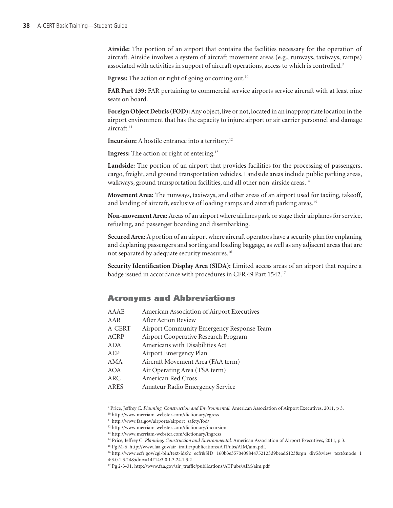**Airside:** The portion of an airport that contains the facilities necessary for the operation of aircraft. Airside involves a system of aircraft movement areas (e.g., runways, taxiways, ramps) associated with activities in support of aircraft operations, access to which is controlled.<sup>9</sup>

**Egress:** The action or right of going or coming out.<sup>10</sup>

**FAR Part 139:** FAR pertaining to commercial service airports service aircraft with at least nine seats on board.

**Foreign Object Debris (FOD):** Any object, live or not, located in an inappropriate location in the airport environment that has the capacity to injure airport or air carrier personnel and damage aircraft.<sup>11</sup>

**Incursion:** A hostile entrance into a territory.<sup>12</sup>

**Ingress:** The action or right of entering.13

**Landside:** The portion of an airport that provides facilities for the processing of passengers, cargo, freight, and ground transportation vehicles. Landside areas include public parking areas, walkways, ground transportation facilities, and all other non-airside areas.<sup>14</sup>

**Movement Area:** The runways, taxiways, and other areas of an airport used for taxiing, takeoff, and landing of aircraft, exclusive of loading ramps and aircraft parking areas.<sup>15</sup>

**Non-movement Area:** Areas of an airport where airlines park or stage their airplanes for service, refueling, and passenger boarding and disembarking.

**Secured Area:** A portion of an airport where aircraft operators have a security plan for enplaning and deplaning passengers and sorting and loading baggage, as well as any adjacent areas that are not separated by adequate security measures.16

**Security Identification Display Area (SIDA):** Limited access areas of an airport that require a badge issued in accordance with procedures in CFR 49 Part 1542.17

#### Acronyms and Abbreviations

| AAAE        | American Association of Airport Executives |
|-------------|--------------------------------------------|
| AAR         | After Action Review                        |
| A-CERT      | Airport Community Emergency Response Team  |
| <b>ACRP</b> | Airport Cooperative Research Program       |
| ADA         | Americans with Disabilities Act            |
| AEP         | Airport Emergency Plan                     |
| AMA         | Aircraft Movement Area (FAA term)          |
| AOA         | Air Operating Area (TSA term)              |
| <b>ARC</b>  | American Red Cross                         |
| <b>ARES</b> | Amateur Radio Emergency Service            |
|             |                                            |

<sup>9</sup> Price, Jeffrey C. *Planning, Construction and Environmental.* American Association of Airport Executives, 2011, p 3.

<sup>10</sup> http://www.merriam-webster.com/dictionary/egress

<sup>11</sup> http://www.faa.gov/airports/airport\_safety/fod/

<sup>12</sup> http://www.merriam-webster.com/dictionary/incursion

<sup>13</sup> http://www.merriam-webster.com/dictionary/ingress

<sup>14</sup> Price, Jeffrey C. *Planning, Construction and Environmental.* American Association of Airport Executives, 2011, p 3.

<sup>15</sup> Pg M-6, http://www.faa.gov/air\_traffic/publications/ATPubs/AIM/aim.pdf.

<sup>16</sup> http://www.ecfr.gov/cgi-bin/text-idx?c=ecfr&SID=160b3e3570409844752123d9bead6123&rgn=div5&view=text&node=1 4:3.0.1.3.24&idno=14#14:3.0.1.3.24.1.3.2

<sup>17</sup> Pg 2-3-31, http://www.faa.gov/air\_traffic/publications/ATPubs/AIM/aim.pdf